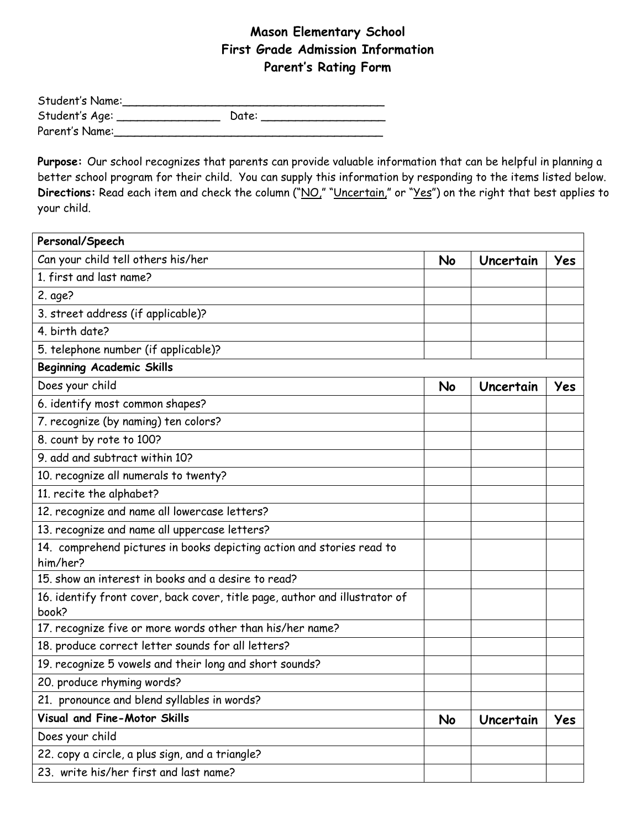## **Mason Elementary School First Grade Admission Information Parent's Rating Form**

| Student's Name: |       |  |
|-----------------|-------|--|
| Student's Age:  | Date: |  |
| Parent's Name:  |       |  |

**Purpose:** Our school recognizes that parents can provide valuable information that can be helpful in planning a better school program for their child. You can supply this information by responding to the items listed below. Directions: Read each item and check the column ("NO," "Uncertain," or "Yes") on the right that best applies to your child.

| Personal/Speech                                                                      |  |           |     |
|--------------------------------------------------------------------------------------|--|-----------|-----|
| Can your child tell others his/her                                                   |  | Uncertain | Yes |
| 1. first and last name?                                                              |  |           |     |
| 2. age?                                                                              |  |           |     |
| 3. street address (if applicable)?                                                   |  |           |     |
| 4. birth date?                                                                       |  |           |     |
| 5. telephone number (if applicable)?                                                 |  |           |     |
| <b>Beginning Academic Skills</b>                                                     |  |           |     |
| Does your child                                                                      |  | Uncertain | Yes |
| 6. identify most common shapes?                                                      |  |           |     |
| 7. recognize (by naming) ten colors?                                                 |  |           |     |
| 8. count by rote to 100?                                                             |  |           |     |
| 9. add and subtract within 10?                                                       |  |           |     |
| 10. recognize all numerals to twenty?                                                |  |           |     |
| 11. recite the alphabet?                                                             |  |           |     |
| 12. recognize and name all lowercase letters?                                        |  |           |     |
| 13. recognize and name all uppercase letters?                                        |  |           |     |
| 14. comprehend pictures in books depicting action and stories read to<br>him/her?    |  |           |     |
| 15. show an interest in books and a desire to read?                                  |  |           |     |
| 16. identify front cover, back cover, title page, author and illustrator of<br>book? |  |           |     |
| 17. recognize five or more words other than his/her name?                            |  |           |     |
| 18. produce correct letter sounds for all letters?                                   |  |           |     |
| 19. recognize 5 vowels and their long and short sounds?                              |  |           |     |
| 20. produce rhyming words?                                                           |  |           |     |
| 21. pronounce and blend syllables in words?                                          |  |           |     |
| Visual and Fine-Motor Skills                                                         |  | Uncertain | Yes |
| Does your child                                                                      |  |           |     |
| 22. copy a circle, a plus sign, and a triangle?                                      |  |           |     |
| 23. write his/her first and last name?                                               |  |           |     |